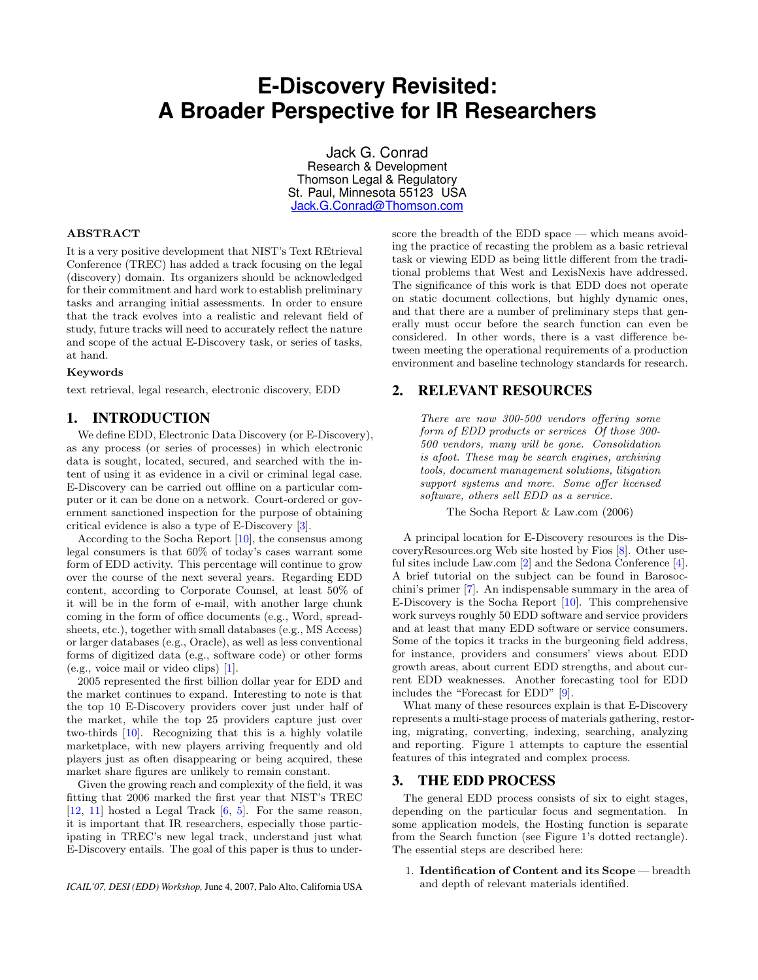# **E-Discovery Revisited: A Broader Perspective for IR Researchers**

Jack G. Conrad Research & Development Thomson Legal & Regulatory St. Paul, Minnesota 55123 USA [Jack.G.Conrad@Thomson.com](mailto:Jack.G.Conrad@Thomson.com)

#### ABSTRACT

It is a very positive development that NIST's Text REtrieval Conference (TREC) has added a track focusing on the legal (discovery) domain. Its organizers should be acknowledged for their commitment and hard work to establish preliminary tasks and arranging initial assessments. In order to ensure that the track evolves into a realistic and relevant field of study, future tracks will need to accurately reflect the nature and scope of the actual E-Discovery task, or series of tasks, at hand.

#### Keywords

text retrieval, legal research, electronic discovery, EDD

## 1. INTRODUCTION

We define EDD, Electronic Data Discovery (or E-Discovery), as any process (or series of processes) in which electronic data is sought, located, secured, and searched with the intent of using it as evidence in a civil or criminal legal case. E-Discovery can be carried out offline on a particular computer or it can be done on a network. Court-ordered or government sanctioned inspection for the purpose of obtaining critical evidence is also a type of E-Discovery [\[3\]](#page-2-0).

According to the Socha Report [\[10\]](#page-2-1), the consensus among legal consumers is that 60% of today's cases warrant some form of EDD activity. This percentage will continue to grow over the course of the next several years. Regarding EDD content, according to Corporate Counsel, at least 50% of it will be in the form of e-mail, with another large chunk coming in the form of office documents (e.g., Word, spreadsheets, etc.), together with small databases (e.g., MS Access) or larger databases (e.g., Oracle), as well as less conventional forms of digitized data (e.g., software code) or other forms (e.g., voice mail or video clips) [\[1\]](#page-2-2).

2005 represented the first billion dollar year for EDD and the market continues to expand. Interesting to note is that the top 10 E-Discovery providers cover just under half of the market, while the top 25 providers capture just over two-thirds [\[10\]](#page-2-1). Recognizing that this is a highly volatile marketplace, with new players arriving frequently and old players just as often disappearing or being acquired, these market share figures are unlikely to remain constant.

Given the growing reach and complexity of the field, it was fitting that 2006 marked the first year that NIST's TREC [\[12,](#page-2-3) [11\]](#page-2-4) hosted a Legal Track [\[6,](#page-2-5) [5\]](#page-2-6). For the same reason, it is important that IR researchers, especially those participating in TREC's new legal track, understand just what E-Discovery entails. The goal of this paper is thus to underscore the breadth of the EDD space — which means avoiding the practice of recasting the problem as a basic retrieval task or viewing EDD as being little different from the traditional problems that West and LexisNexis have addressed. The significance of this work is that EDD does not operate on static document collections, but highly dynamic ones, and that there are a number of preliminary steps that generally must occur before the search function can even be considered. In other words, there is a vast difference between meeting the operational requirements of a production environment and baseline technology standards for research.

#### 2. RELEVANT RESOURCES

There are now 300-500 vendors offering some form of EDD products or services Of those 300- 500 vendors, many will be gone. Consolidation is afoot. These may be search engines, archiving tools, document management solutions, litigation support systems and more. Some offer licensed software, others sell EDD as a service.

The Socha Report & Law.com (2006)

A principal location for E-Discovery resources is the DiscoveryResources.org Web site hosted by Fios [\[8\]](#page-2-7). Other useful sites include Law.com [\[2\]](#page-2-8) and the Sedona Conference [\[4\]](#page-2-9). A brief tutorial on the subject can be found in Barosocchini's primer [\[7\]](#page-2-10). An indispensable summary in the area of E-Discovery is the Socha Report [\[10\]](#page-2-1). This comprehensive work surveys roughly 50 EDD software and service providers and at least that many EDD software or service consumers. Some of the topics it tracks in the burgeoning field address, for instance, providers and consumers' views about EDD growth areas, about current EDD strengths, and about current EDD weaknesses. Another forecasting tool for EDD includes the "Forecast for EDD" [\[9\]](#page-2-11).

What many of these resources explain is that E-Discovery represents a multi-stage process of materials gathering, restoring, migrating, converting, indexing, searching, analyzing and reporting. Figure 1 attempts to capture the essential features of this integrated and complex process.

#### 3. THE EDD PROCESS

The general EDD process consists of six to eight stages, depending on the particular focus and segmentation. In some application models, the Hosting function is separate from the Search function (see Figure 1's dotted rectangle). The essential steps are described here:

1. Identification of Content and its Scope — breadth and depth of relevant materials identified.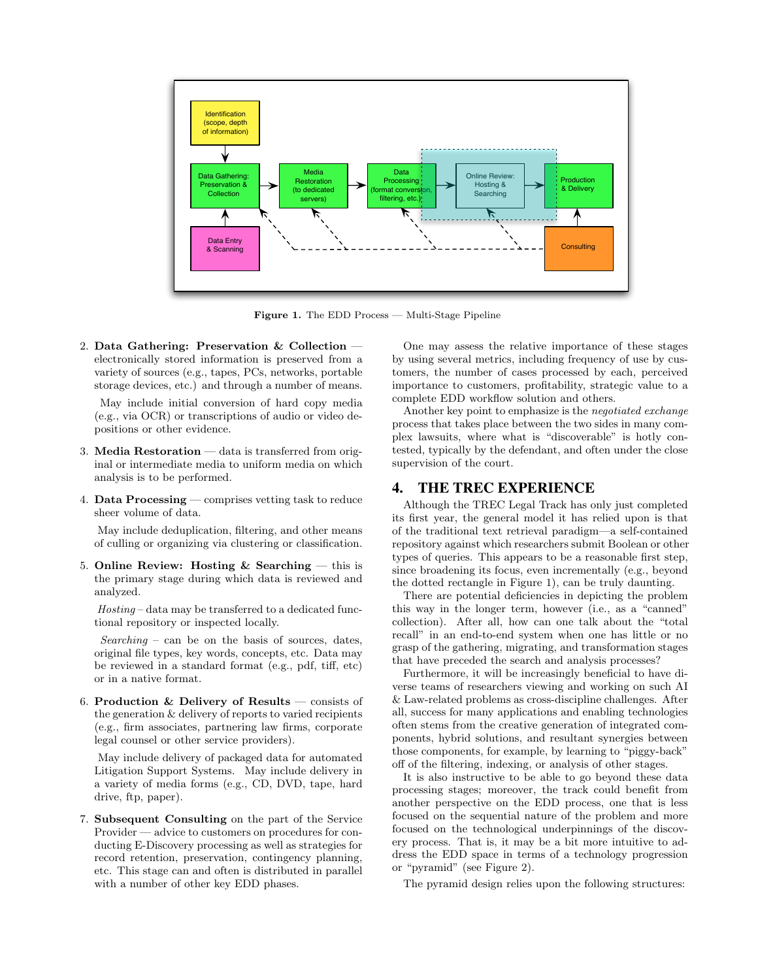

Figure 1. The EDD Process — Multi-Stage Pipeline

2. Data Gathering: Preservation  $&$  Collection  $$ electronically stored information is preserved from a variety of sources (e.g., tapes, PCs, networks, portable storage devices, etc.) and through a number of means.

May include initial conversion of hard copy media (e.g., via OCR) or transcriptions of audio or video depositions or other evidence.

- 3. Media Restoration data is transferred from original or intermediate media to uniform media on which analysis is to be performed.
- 4. Data Processing comprises vetting task to reduce sheer volume of data.

May include deduplication, filtering, and other means of culling or organizing via clustering or classification.

5. Online Review: Hosting  $&$  Searching  $-$  this is the primary stage during which data is reviewed and analyzed.

Hosting – data may be transferred to a dedicated functional repository or inspected locally.

 $Searching - can be on the basis of sources, dates,$ original file types, key words, concepts, etc. Data may be reviewed in a standard format (e.g., pdf, tiff, etc) or in a native format.

6. Production & Delivery of Results — consists of the generation & delivery of reports to varied recipients (e.g., firm associates, partnering law firms, corporate legal counsel or other service providers).

May include delivery of packaged data for automated Litigation Support Systems. May include delivery in a variety of media forms (e.g., CD, DVD, tape, hard drive, ftp, paper).

7. Subsequent Consulting on the part of the Service Provider — advice to customers on procedures for conducting E-Discovery processing as well as strategies for record retention, preservation, contingency planning, etc. This stage can and often is distributed in parallel with a number of other key EDD phases.

One may assess the relative importance of these stages by using several metrics, including frequency of use by customers, the number of cases processed by each, perceived importance to customers, profitability, strategic value to a complete EDD workflow solution and others.

Another key point to emphasize is the negotiated exchange process that takes place between the two sides in many complex lawsuits, where what is "discoverable" is hotly contested, typically by the defendant, and often under the close supervision of the court.

### 4. THE TREC EXPERIENCE

Although the TREC Legal Track has only just completed its first year, the general model it has relied upon is that of the traditional text retrieval paradigm—a self-contained repository against which researchers submit Boolean or other types of queries. This appears to be a reasonable first step, since broadening its focus, even incrementally (e.g., beyond the dotted rectangle in Figure 1), can be truly daunting.

There are potential deficiencies in depicting the problem this way in the longer term, however (i.e., as a "canned" collection). After all, how can one talk about the "total recall" in an end-to-end system when one has little or no grasp of the gathering, migrating, and transformation stages that have preceded the search and analysis processes?

Furthermore, it will be increasingly beneficial to have diverse teams of researchers viewing and working on such AI & Law-related problems as cross-discipline challenges. After all, success for many applications and enabling technologies often stems from the creative generation of integrated components, hybrid solutions, and resultant synergies between those components, for example, by learning to "piggy-back" off of the filtering, indexing, or analysis of other stages.

It is also instructive to be able to go beyond these data processing stages; moreover, the track could benefit from another perspective on the EDD process, one that is less focused on the sequential nature of the problem and more focused on the technological underpinnings of the discovery process. That is, it may be a bit more intuitive to address the EDD space in terms of a technology progression or "pyramid" (see Figure 2).

The pyramid design relies upon the following structures: